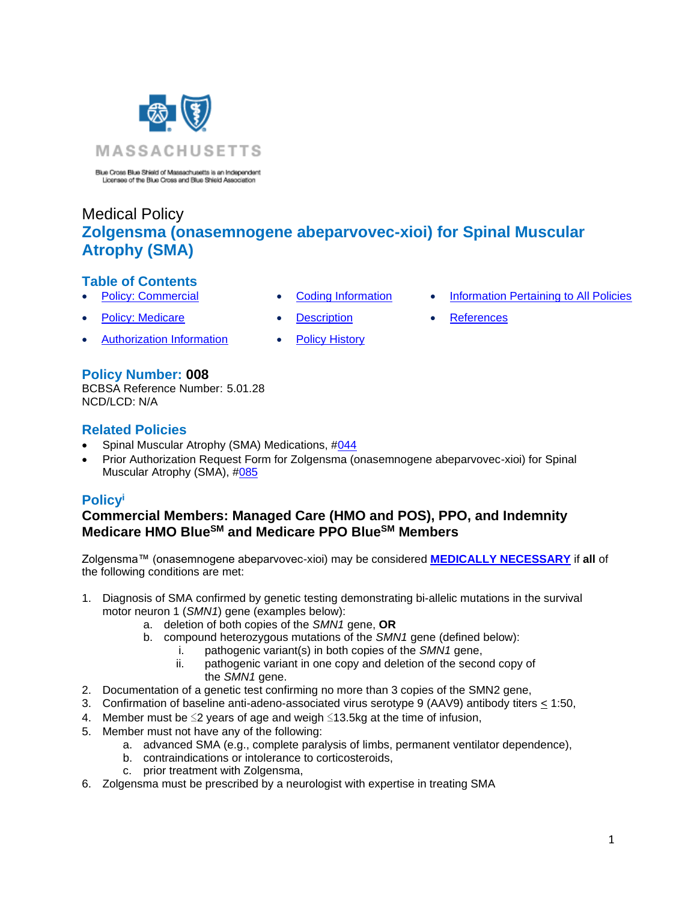

Blue Cross Blue Shield of Massachusetts is an Independent Licensee of the Blue Cross and Blue Shield Association

# Medical Policy **Zolgensma (onasemnogene abeparvovec-xioi) for Spinal Muscular Atrophy (SMA)**

# **Table of Contents**

- **[Policy: Commercial](#page-0-0) [Coding Information](#page-2-0) [Information Pertaining to All Policies](#page-6-0)**
- **[Policy: Medicare](#page-0-0) [Description](#page-2-1) [References](#page-6-1)**
- [Authorization Information](#page-1-0) [Policy History](#page-6-2)
- 
- **Policy Number: 008**

BCBSA Reference Number: 5.01.28 NCD/LCD: N/A

## **Related Policies**

- Spinal Muscular Atrophy (SMA) Medications, [#044](https://www.bluecrossma.org/medical-policies/sites/g/files/csphws2091/files/acquiadam-assets/044%20Spinal%20Muscular%20Atrophy%20(SMA)%20Medications%20prn.pdf)
- Prior Authorization Request Form for Zolgensma (onasemnogene abeparvovec-xioi) for Spinal Muscular Atrophy (SMA), [#085](https://www.bluecrossma.org/medical-policies/sites/g/files/csphws2091/files/acquiadam-assets/085%20Prior%20Authorization%20Request%20Form%20for%20Zolgensma%20(onasemnogene%20abeparvovec-xioi)%20for%20Spinal%20Muscular%20Atrophy%20MP%20008%20prn.pdf)

# <span id="page-0-0"></span>**Policy<sup>i</sup>**

## **Commercial Members: Managed Care (HMO and POS), PPO, and Indemnity Medicare HMO BlueSM and Medicare PPO BlueSM Members**

Zolgensma™ (onasemnogene abeparvovec-xioi) may be considered **[MEDICALLY NECESSARY](https://www.bluecrossma.org/medical-policies/sites/g/files/csphws2091/files/acquiadam-assets/Definition%20of%20Med%20Nec%20Inv%20Not%20Med%20Nec%20prn.pdf#page=1)** if **all** of the following conditions are met:

- 1. Diagnosis of SMA confirmed by genetic testing demonstrating bi-allelic mutations in the survival motor neuron 1 (*SMN1*) gene (examples below):
	- a. deletion of both copies of the *SMN1* gene, **OR**
	- b. compound heterozygous mutations of the *SMN1* gene (defined below):
		- i. pathogenic variant(s) in both copies of the *SMN1* gene,
			- ii. pathogenic variant in one copy and deletion of the second copy of the *SMN1* gene.
- 2. Documentation of a genetic test confirming no more than 3 copies of the SMN2 gene,
- 3. Confirmation of baseline anti-adeno-associated virus serotype 9 (AAV9) antibody titers < 1:50,
- 4. Member must be ≤2 years of age and weigh ≤13.5kg at the time of infusion,
- 5. Member must not have any of the following:
	- a. advanced SMA (e.g., complete paralysis of limbs, permanent ventilator dependence),
	- b. contraindications or intolerance to corticosteroids,
	- c. prior treatment with Zolgensma,
- 6. Zolgensma must be prescribed by a neurologist with expertise in treating SMA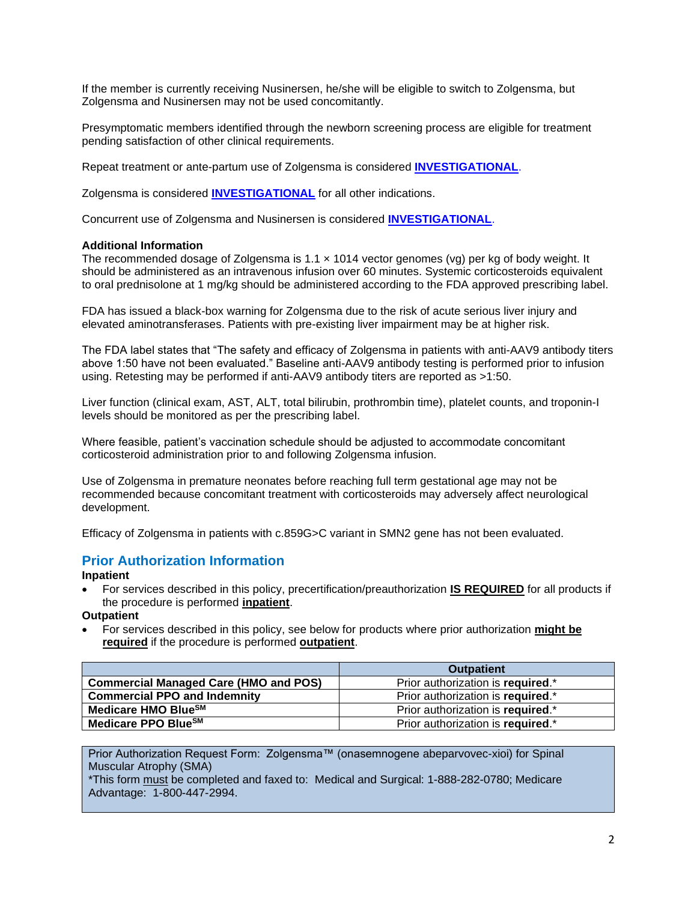If the member is currently receiving Nusinersen, he/she will be eligible to switch to Zolgensma, but Zolgensma and Nusinersen may not be used concomitantly.

Presymptomatic members identified through the newborn screening process are eligible for treatment pending satisfaction of other clinical requirements.

Repeat treatment or ante-partum use of Zolgensma is considered **[INVESTIGATIONAL](https://www.bluecrossma.org/medical-policies/sites/g/files/csphws2091/files/acquiadam-assets/Definition%20of%20Med%20Nec%20Inv%20Not%20Med%20Nec%20prn.pdf#page=1)**.

Zolgensma is considered **[INVESTIGATIONAL](https://www.bluecrossma.org/medical-policies/sites/g/files/csphws2091/files/acquiadam-assets/Definition%20of%20Med%20Nec%20Inv%20Not%20Med%20Nec%20prn.pdf#page=1)** for all other indications.

Concurrent use of Zolgensma and Nusinersen is considered **[INVESTIGATIONAL](https://www.bluecrossma.org/medical-policies/sites/g/files/csphws2091/files/acquiadam-assets/Definition%20of%20Med%20Nec%20Inv%20Not%20Med%20Nec%20prn.pdf#page=1)**.

#### **Additional Information**

The recommended dosage of Zolgensma is  $1.1 \times 1014$  vector genomes (vg) per kg of body weight. It should be administered as an intravenous infusion over 60 minutes. Systemic corticosteroids equivalent to oral prednisolone at 1 mg/kg should be administered according to the FDA approved prescribing label.

FDA has issued a black-box warning for Zolgensma due to the risk of acute serious liver injury and elevated aminotransferases. Patients with pre-existing liver impairment may be at higher risk.

The FDA label states that "The safety and efficacy of Zolgensma in patients with anti-AAV9 antibody titers above 1:50 have not been evaluated." Baseline anti-AAV9 antibody testing is performed prior to infusion using. Retesting may be performed if anti-AAV9 antibody titers are reported as >1:50.

Liver function (clinical exam, AST, ALT, total bilirubin, prothrombin time), platelet counts, and troponin-I levels should be monitored as per the prescribing label.

Where feasible, patient's vaccination schedule should be adjusted to accommodate concomitant corticosteroid administration prior to and following Zolgensma infusion.

Use of Zolgensma in premature neonates before reaching full term gestational age may not be recommended because concomitant treatment with corticosteroids may adversely affect neurological development.

Efficacy of Zolgensma in patients with c.859G>C variant in SMN2 gene has not been evaluated.

### <span id="page-1-0"></span>**Prior Authorization Information**

**Inpatient**

• For services described in this policy, precertification/preauthorization **IS REQUIRED** for all products if the procedure is performed **inpatient**.

#### **Outpatient**

• For services described in this policy, see below for products where prior authorization **might be required** if the procedure is performed **outpatient**.

|                                              | <b>Outpatient</b>                 |
|----------------------------------------------|-----------------------------------|
| <b>Commercial Managed Care (HMO and POS)</b> | Prior authorization is required.* |
| <b>Commercial PPO and Indemnity</b>          | Prior authorization is required.* |
| Medicare HMO Blue <sup>SM</sup>              | Prior authorization is required.* |
| Medicare PPO Blue <sup>SM</sup>              | Prior authorization is required.* |

Prior Authorization Request Form: Zolgensma™ (onasemnogene abeparvovec-xioi) for Spinal Muscular Atrophy (SMA)

\*This form must be completed and faxed to: Medical and Surgical: 1-888-282-0780; Medicare Advantage: 1-800-447-2994.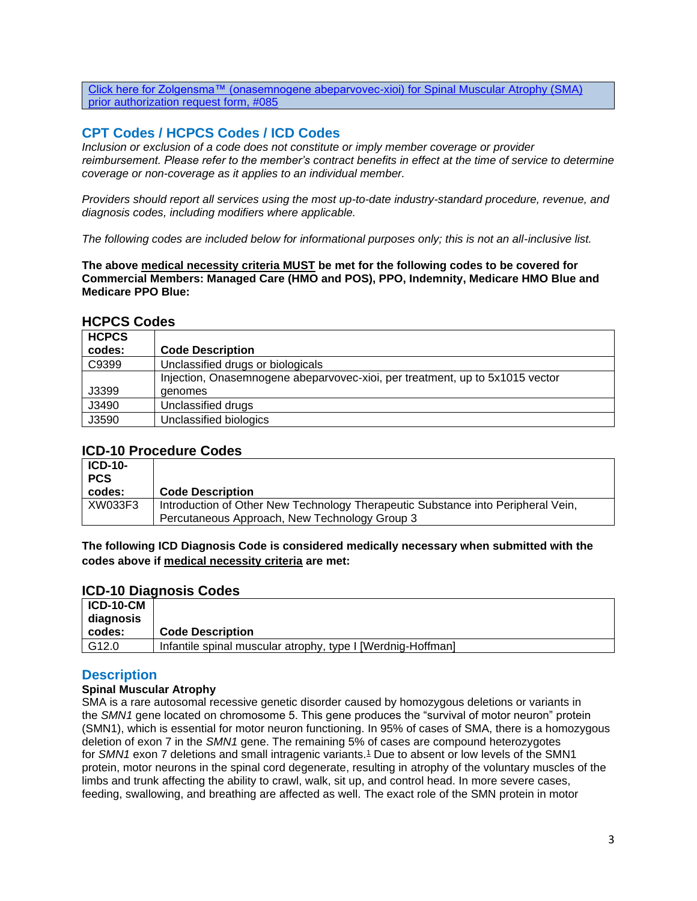[Click here for Zolgensma™ \(onasemnogene abeparvovec-xioi\) for Spinal Muscular Atrophy \(SMA\)](https://www.bluecrossma.org/medical-policies/sites/g/files/csphws2091/files/acquiadam-assets/085%20Prior%20Authorization%20Request%20Form%20for%20Zolgensma%20%28onasemnogene%20abeparvovec-xioi%29%20for%20Spinal%20Muscular%20Atrophy%20MP%20008%20prn.pdf)  [prior authorization request form, #085](https://www.bluecrossma.org/medical-policies/sites/g/files/csphws2091/files/acquiadam-assets/085%20Prior%20Authorization%20Request%20Form%20for%20Zolgensma%20%28onasemnogene%20abeparvovec-xioi%29%20for%20Spinal%20Muscular%20Atrophy%20MP%20008%20prn.pdf)

## <span id="page-2-0"></span>**CPT Codes / HCPCS Codes / ICD Codes**

*Inclusion or exclusion of a code does not constitute or imply member coverage or provider reimbursement. Please refer to the member's contract benefits in effect at the time of service to determine coverage or non-coverage as it applies to an individual member.*

*Providers should report all services using the most up-to-date industry-standard procedure, revenue, and diagnosis codes, including modifiers where applicable.*

*The following codes are included below for informational purposes only; this is not an all-inclusive list.*

**The above medical necessity criteria MUST be met for the following codes to be covered for Commercial Members: Managed Care (HMO and POS), PPO, Indemnity, Medicare HMO Blue and Medicare PPO Blue:**

### **HCPCS Codes**

| <b>HCPCS</b> |                                                                              |
|--------------|------------------------------------------------------------------------------|
| codes:       | <b>Code Description</b>                                                      |
| C9399        | Unclassified drugs or biologicals                                            |
|              | Injection, Onasemnogene abeparvovec-xioi, per treatment, up to 5x1015 vector |
| J3399        | genomes                                                                      |
| J3490        | Unclassified drugs                                                           |
| J3590        | Unclassified biologics                                                       |

### **ICD-10 Procedure Codes**

| $ICD-10-$<br><b>PCS</b> |                                                                                  |
|-------------------------|----------------------------------------------------------------------------------|
| codes:                  | <b>Code Description</b>                                                          |
| XW033F3                 | Introduction of Other New Technology Therapeutic Substance into Peripheral Vein, |
|                         | Percutaneous Approach, New Technology Group 3                                    |

**The following ICD Diagnosis Code is considered medically necessary when submitted with the codes above if medical necessity criteria are met:**

### **ICD-10 Diagnosis Codes**

| <b>ICD-10-CM</b><br>diagnosis |                                                             |
|-------------------------------|-------------------------------------------------------------|
| codes:                        | <b>Code Description</b>                                     |
| G12.0                         | Infantile spinal muscular atrophy, type I [Werdnig-Hoffman] |

## <span id="page-2-1"></span>**Description**

## **Spinal Muscular Atrophy**

SMA is a rare autosomal recessive genetic disorder caused by homozygous deletions or variants in the *SMN1* gene located on chromosome 5. This gene produces the "survival of motor neuron" protein (SMN1), which is essential for motor neuron functioning. In 95% of cases of SMA, there is a homozygous deletion of exon 7 in the *SMN1* gene. The remaining 5% of cases are compound heterozygotes for *SMN[1](https://www.evidencepositioningsystem.com/BCBSA/html/_w_81eaccd97e8936c3ab5964745e7b2d1e0724f3e68594824f/#reference-1)* exon 7 deletions and small intragenic variants.<sup>1</sup> Due to absent or low levels of the SMN1 protein, motor neurons in the spinal cord degenerate, resulting in atrophy of the voluntary muscles of the limbs and trunk affecting the ability to crawl, walk, sit up, and control head. In more severe cases, feeding, swallowing, and breathing are affected as well. The exact role of the SMN protein in motor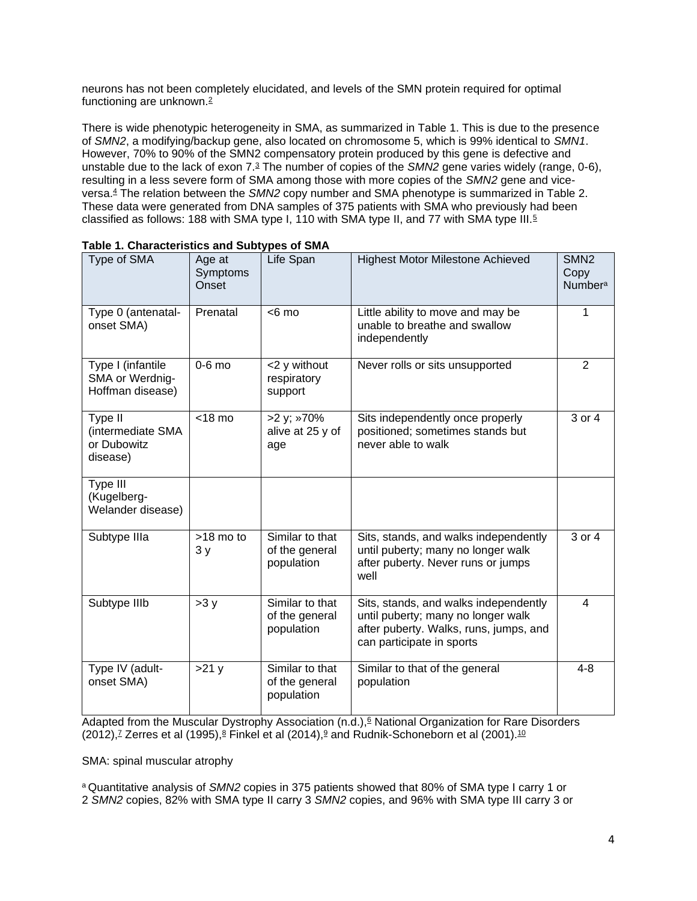neurons has not been completely elucidated, and levels of the SMN protein required for optimal functioning are unknown.[2](https://www.evidencepositioningsystem.com/BCBSA/html/_w_81eaccd97e8936c3ab5964745e7b2d1e0724f3e68594824f/#reference-2)

There is wide phenotypic heterogeneity in SMA, as summarized in Table 1. This is due to the presence of *SMN2*, a modifying/backup gene, also located on chromosome 5, which is 99% identical to *SMN1*. However, 70% to 90% of the SMN2 compensatory protein produced by this gene is defective and unstable due to the lack of exon 7.[3](https://www.evidencepositioningsystem.com/BCBSA/html/_w_81eaccd97e8936c3ab5964745e7b2d1e0724f3e68594824f/#reference-3) The number of copies of the *SMN2* gene varies widely (range, 0-6), resulting in a less severe form of SMA among those with more copies of the *SMN2* gene and viceversa.[4](https://www.evidencepositioningsystem.com/BCBSA/html/_w_81eaccd97e8936c3ab5964745e7b2d1e0724f3e68594824f/#reference-4) The relation between the *SMN2* copy number and SMA phenotype is summarized in Table 2. These data were generated from DNA samples of 375 patients with SMA who previously had been classified as follows: 188 with SMA type I, 110 with SMA type II, and 77 with SMA type III.[5](https://www.evidencepositioningsystem.com/BCBSA/html/_w_81eaccd97e8936c3ab5964745e7b2d1e0724f3e68594824f/#reference-5)

| Type of SMA                                              | Age at<br>Symptoms<br>Onset | Life Span                                       | <b>Highest Motor Milestone Achieved</b>                                                                                                            | SMN <sub>2</sub><br>Copy<br><b>Numbera</b> |
|----------------------------------------------------------|-----------------------------|-------------------------------------------------|----------------------------------------------------------------------------------------------------------------------------------------------------|--------------------------------------------|
| Type 0 (antenatal-<br>onset SMA)                         | Prenatal                    | $< 6$ mo                                        | Little ability to move and may be<br>unable to breathe and swallow<br>independently                                                                | 1                                          |
| Type I (infantile<br>SMA or Werdnig-<br>Hoffman disease) | $0-6$ mo                    | <2 y without<br>respiratory<br>support          | Never rolls or sits unsupported                                                                                                                    | 2                                          |
| Type II<br>(intermediate SMA<br>or Dubowitz<br>disease)  | $<$ 18 mo                   | >2 y; »70%<br>alive at 25 y of<br>age           | Sits independently once properly<br>positioned; sometimes stands but<br>never able to walk                                                         | 3 or 4                                     |
| Type III<br>(Kugelberg-<br>Welander disease)             |                             |                                                 |                                                                                                                                                    |                                            |
| Subtype IIIa                                             | $>18$ mo to<br>3y           | Similar to that<br>of the general<br>population | Sits, stands, and walks independently<br>until puberty; many no longer walk<br>after puberty. Never runs or jumps<br>well                          | 3 or 4                                     |
| Subtype IIIb                                             | >3y                         | Similar to that<br>of the general<br>population | Sits, stands, and walks independently<br>until puberty; many no longer walk<br>after puberty. Walks, runs, jumps, and<br>can participate in sports | 4                                          |
| Type IV (adult-<br>onset SMA)                            | >21y                        | Similar to that<br>of the general<br>population | Similar to that of the general<br>population                                                                                                       | $4 - 8$                                    |

Adapted from the Muscular Dystrophy Association  $(n.d.)$ [,](https://www.evidencepositioningsystem.com/BCBSA/html/_w_81eaccd97e8936c3ab5964745e7b2d1e0724f3e68594824f/#reference-6)  $\stackrel{\frown}{ }$  National Organization for Rare Disorders  $(2012)$ [,](https://www.evidencepositioningsystem.com/BCBSA/html/_w_81eaccd97e8936c3ab5964745e7b2d1e0724f3e68594824f/#reference-7)<sup>7</sup> Zerres et al (1[9](https://www.evidencepositioningsystem.com/BCBSA/html/_w_81eaccd97e8936c3ab5964745e7b2d1e0724f3e68594824f/#reference-9)95), $8$  Finkel et al  $(2014)$ ,  $8$  and Rudnik-Schoneborn et al  $(2001)$ .<sup>[10](https://www.evidencepositioningsystem.com/BCBSA/html/_w_81eaccd97e8936c3ab5964745e7b2d1e0724f3e68594824f/#reference-10)</sup>

SMA: spinal muscular atrophy

<sup>a</sup> Quantitative analysis of *SMN2* copies in 375 patients showed that 80% of SMA type I carry 1 or 2 *SMN2* copies, 82% with SMA type II carry 3 *SMN2* copies, and 96% with SMA type III carry 3 or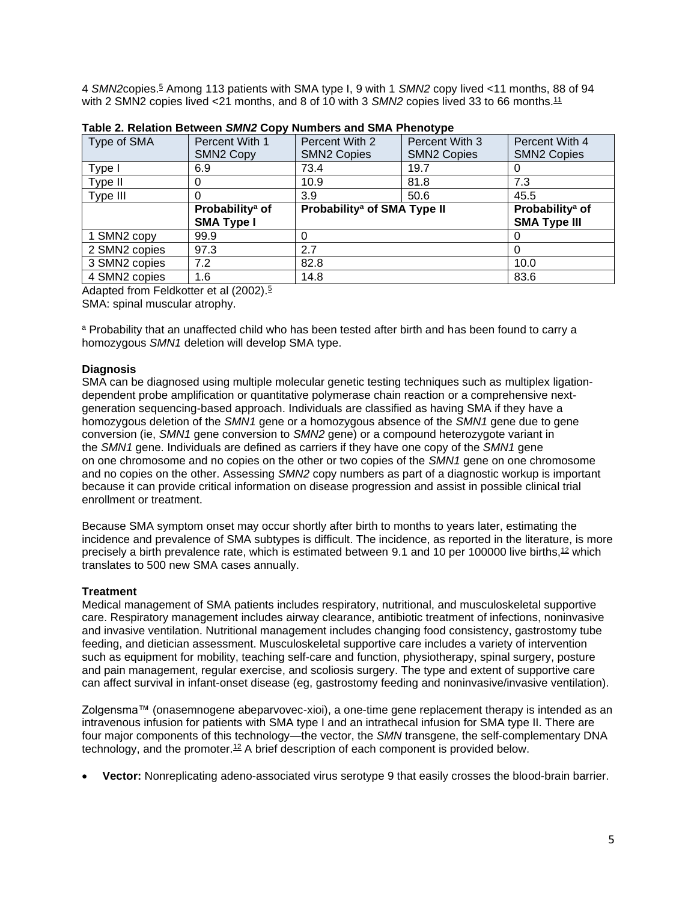4 *SMN2*copies.[5](https://www.evidencepositioningsystem.com/BCBSA/html/_w_81eaccd97e8936c3ab5964745e7b2d1e0724f3e68594824f/#reference-5) Among 113 patients with SMA type I, 9 with 1 *SMN2* copy lived <11 months, 88 of 94 with 2 SMN2 copies lived <21 months, and 8 of 10 with 3 *SMN2* copies lived 33 to 66 months.<sup>[11](https://www.evidencepositioningsystem.com/BCBSA/html/_w_81eaccd97e8936c3ab5964745e7b2d1e0724f3e68594824f/#reference-11)</sup>

| Type of SMA   | Percent With 1              | Percent With 2<br>Percent With 3        |                    | Percent With 4              |
|---------------|-----------------------------|-----------------------------------------|--------------------|-----------------------------|
|               | <b>SMN2 Copy</b>            | <b>SMN2 Copies</b>                      | <b>SMN2 Copies</b> | <b>SMN2 Copies</b>          |
| Type I        | 6.9                         | 73.4                                    | 19.7               |                             |
| Type II       | 0                           | 10.9                                    | 81.8               | 7.3                         |
| Type III      | O                           | 3.9                                     | 50.6               | 45.5                        |
|               | Probability <sup>a</sup> of | Probability <sup>a</sup> of SMA Type II |                    | Probability <sup>a</sup> of |
|               | <b>SMA Type I</b>           |                                         |                    | <b>SMA Type III</b>         |
| 1 SMN2 copy   | 99.9                        |                                         |                    |                             |
| 2 SMN2 copies | 97.3                        | 2.7                                     |                    |                             |
| 3 SMN2 copies | 7.2                         | 82.8                                    |                    | 10.0                        |
|               |                             |                                         |                    |                             |

|  |  |  | Table 2. Relation Between SMN2 Copy Numbers and SMA Phenotype |
|--|--|--|---------------------------------------------------------------|
|  |  |  |                                                               |

Adapted from Feldkotter et al (2002).<sup>[5](https://www.evidencepositioningsystem.com/BCBSA/html/_w_81eaccd97e8936c3ab5964745e7b2d1e0724f3e68594824f/#reference-5)</sup>

SMA: spinal muscular atrophy.

a Probability that an unaffected child who has been tested after birth and has been found to carry a homozygous *SMN1* deletion will develop SMA type.

### **Diagnosis**

SMA can be diagnosed using multiple molecular genetic testing techniques such as multiplex ligationdependent probe amplification or quantitative polymerase chain reaction or a comprehensive nextgeneration sequencing-based approach. Individuals are classified as having SMA if they have a homozygous deletion of the *SMN1* gene or a homozygous absence of the *SMN1* gene due to gene conversion (ie, *SMN1* gene conversion to *SMN2* gene) or a compound heterozygote variant in the *SMN1* gene. Individuals are defined as carriers if they have one copy of the *SMN1* gene on one chromosome and no copies on the other or two copies of the *SMN1* gene on one chromosome and no copies on the other. Assessing *SMN2* copy numbers as part of a diagnostic workup is important because it can provide critical information on disease progression and assist in possible clinical trial enrollment or treatment.

Because SMA symptom onset may occur shortly after birth to months to years later, estimating the incidence and prevalence of SMA subtypes is difficult. The incidence, as reported in the literature, is more precisely a birth prevalence rate, which is estimated between 9.1 and 10 per 100000 live births.<sup>[12](https://www.evidencepositioningsystem.com/BCBSA/html/_w_81eaccd97e8936c3ab5964745e7b2d1e0724f3e68594824f/#reference-12)</sup> which translates to 500 new SMA cases annually.

### **Treatment**

Medical management of SMA patients includes respiratory, nutritional, and musculoskeletal supportive care. Respiratory management includes airway clearance, antibiotic treatment of infections, noninvasive and invasive ventilation. Nutritional management includes changing food consistency, gastrostomy tube feeding, and dietician assessment. Musculoskeletal supportive care includes a variety of intervention such as equipment for mobility, teaching self-care and function, physiotherapy, spinal surgery, posture and pain management, regular exercise, and scoliosis surgery. The type and extent of supportive care can affect survival in infant-onset disease (eg, gastrostomy feeding and noninvasive/invasive ventilation).

Zolgensma™ (onasemnogene abeparvovec-xioi), a one-time gene replacement therapy is intended as an intravenous infusion for patients with SMA type I and an intrathecal infusion for SMA type II. There are four major components of this technology—the vector, the *SMN* transgene, the self-complementary DNA technology, and the promoter.[12](https://www.evidencepositioningsystem.com/BCBSA/html/_w_81eaccd97e8936c3ab5964745e7b2d1e0724f3e68594824f/#reference-12) A brief description of each component is provided below.

• **Vector:** Nonreplicating adeno-associated virus serotype 9 that easily crosses the blood-brain barrier.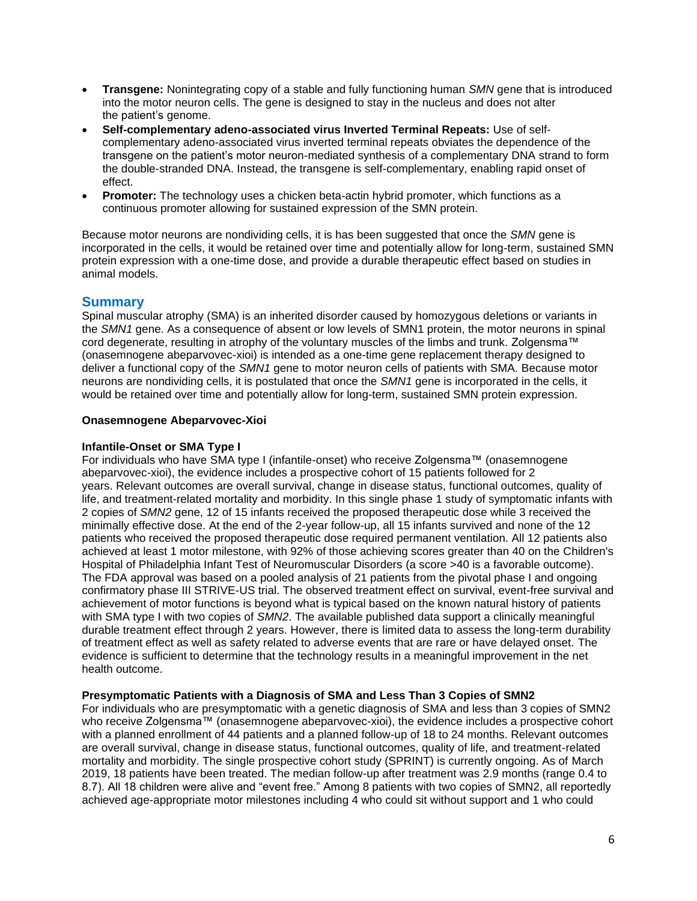- **Transgene:** Nonintegrating copy of a stable and fully functioning human *SMN* gene that is introduced into the motor neuron cells. The gene is designed to stay in the nucleus and does not alter the patient's genome.
- **Self-complementary adeno-associated virus Inverted Terminal Repeats:** Use of selfcomplementary adeno-associated virus inverted terminal repeats obviates the dependence of the transgene on the patient's motor neuron-mediated synthesis of a complementary DNA strand to form the double-stranded DNA. Instead, the transgene is self-complementary, enabling rapid onset of effect.
- **Promoter:** The technology uses a chicken beta-actin hybrid promoter, which functions as a continuous promoter allowing for sustained expression of the SMN protein.

Because motor neurons are nondividing cells, it is has been suggested that once the *SMN* gene is incorporated in the cells, it would be retained over time and potentially allow for long-term, sustained SMN protein expression with a one-time dose, and provide a durable therapeutic effect based on studies in animal models.

## **Summary**

Spinal muscular atrophy (SMA) is an inherited disorder caused by homozygous deletions or variants in the *SMN1* gene. As a consequence of absent or low levels of SMN1 protein, the motor neurons in spinal cord degenerate, resulting in atrophy of the voluntary muscles of the limbs and trunk. Zolgensma™ (onasemnogene abeparvovec-xioi) is intended as a one-time gene replacement therapy designed to deliver a functional copy of the *SMN1* gene to motor neuron cells of patients with SMA. Because motor neurons are nondividing cells, it is postulated that once the *SMN1* gene is incorporated in the cells, it would be retained over time and potentially allow for long-term, sustained SMN protein expression.

#### **Onasemnogene Abeparvovec-Xioi**

#### **Infantile-Onset or SMA Type I**

For individuals who have SMA type I (infantile-onset) who receive Zolgensma™ (onasemnogene abeparvovec-xioi), the evidence includes a prospective cohort of 15 patients followed for 2 years. Relevant outcomes are overall survival, change in disease status, functional outcomes, quality of life, and treatment-related mortality and morbidity. In this single phase 1 study of symptomatic infants with 2 copies of *SMN2* gene, 12 of 15 infants received the proposed therapeutic dose while 3 received the minimally effective dose. At the end of the 2-year follow-up, all 15 infants survived and none of the 12 patients who received the proposed therapeutic dose required permanent ventilation. All 12 patients also achieved at least 1 motor milestone, with 92% of those achieving scores greater than 40 on the Children's Hospital of Philadelphia Infant Test of Neuromuscular Disorders (a score >40 is a favorable outcome). The FDA approval was based on a pooled analysis of 21 patients from the pivotal phase I and ongoing confirmatory phase III STRIVE-US trial. The observed treatment effect on survival, event-free survival and achievement of motor functions is beyond what is typical based on the known natural history of patients with SMA type I with two copies of *SMN2*. The available published data support a clinically meaningful durable treatment effect through 2 years. However, there is limited data to assess the long-term durability of treatment effect as well as safety related to adverse events that are rare or have delayed onset. The evidence is sufficient to determine that the technology results in a meaningful improvement in the net health outcome.

### **Presymptomatic Patients with a Diagnosis of SMA and Less Than 3 Copies of SMN2**

For individuals who are presymptomatic with a genetic diagnosis of SMA and less than 3 copies of SMN2 who receive Zolgensma™ (onasemnogene abeparvovec-xioi), the evidence includes a prospective cohort with a planned enrollment of 44 patients and a planned follow-up of 18 to 24 months. Relevant outcomes are overall survival, change in disease status, functional outcomes, quality of life, and treatment-related mortality and morbidity. The single prospective cohort study (SPRINT) is currently ongoing. As of March 2019, 18 patients have been treated. The median follow-up after treatment was 2.9 months (range 0.4 to 8.7). All 18 children were alive and "event free." Among 8 patients with two copies of SMN2, all reportedly achieved age-appropriate motor milestones including 4 who could sit without support and 1 who could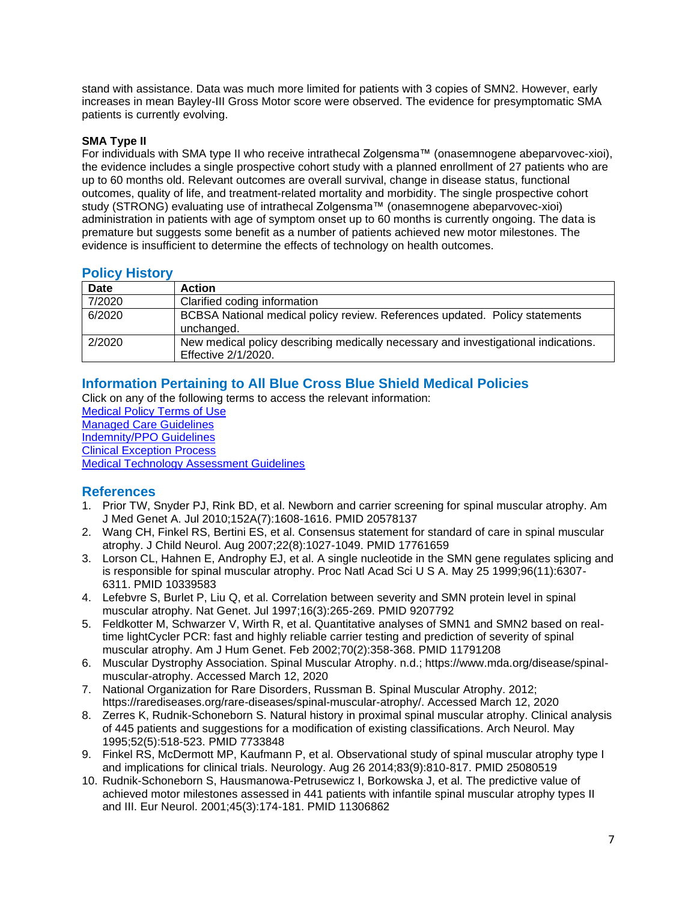stand with assistance. Data was much more limited for patients with 3 copies of SMN2. However, early increases in mean Bayley-III Gross Motor score were observed. The evidence for presymptomatic SMA patients is currently evolving.

### **SMA Type II**

For individuals with SMA type II who receive intrathecal Zolgensma™ (onasemnogene abeparvovec-xioi), the evidence includes a single prospective cohort study with a planned enrollment of 27 patients who are up to 60 months old. Relevant outcomes are overall survival, change in disease status, functional outcomes, quality of life, and treatment-related mortality and morbidity. The single prospective cohort study (STRONG) evaluating use of intrathecal Zolgensma™ (onasemnogene abeparvovec-xioi) administration in patients with age of symptom onset up to 60 months is currently ongoing. The data is premature but suggests some benefit as a number of patients achieved new motor milestones. The evidence is insufficient to determine the effects of technology on health outcomes.

## <span id="page-6-2"></span>**Policy History**

| <b>Date</b> | <b>Action</b>                                                                                             |
|-------------|-----------------------------------------------------------------------------------------------------------|
| 7/2020      | Clarified coding information                                                                              |
| 6/2020      | BCBSA National medical policy review. References updated. Policy statements<br>unchanged.                 |
| 2/2020      | New medical policy describing medically necessary and investigational indications.<br>Effective 2/1/2020. |

# <span id="page-6-0"></span>**Information Pertaining to All Blue Cross Blue Shield Medical Policies**

Click on any of the following terms to access the relevant information:

[Medical Policy Terms of Use](http://www.bluecrossma.org/medical-policies/sites/g/files/csphws2091/files/acquiadam-assets/Medical_Policy_Terms_of_Use_prn.pdf) [Managed Care Guidelines](http://www.bluecrossma.org/medical-policies/sites/g/files/csphws2091/files/acquiadam-assets/Managed_Care_Guidelines_prn.pdf) [Indemnity/PPO Guidelines](http://www.bluecrossma.org/medical-policies/sites/g/files/csphws2091/files/acquiadam-assets/Indemnity_and_PPO_Guidelines_prn.pdf) [Clinical Exception Process](http://www.bluecrossma.org/medical-policies/sites/g/files/csphws2091/files/acquiadam-assets/Clinical_Exception_Process_prn.pdf) [Medical Technology Assessment Guidelines](http://www.bluecrossma.org/medical-policies/sites/g/files/csphws2091/files/acquiadam-assets/Medical_Technology_Assessment_Guidelines_prn.pdf)

## <span id="page-6-1"></span>**References**

- 1. Prior TW, Snyder PJ, Rink BD, et al. Newborn and carrier screening for spinal muscular atrophy. Am J Med Genet A. Jul 2010;152A(7):1608-1616. PMID 20578137
- 2. Wang CH, Finkel RS, Bertini ES, et al. Consensus statement for standard of care in spinal muscular atrophy. J Child Neurol. Aug 2007;22(8):1027-1049. PMID 17761659
- 3. Lorson CL, Hahnen E, Androphy EJ, et al. A single nucleotide in the SMN gene regulates splicing and is responsible for spinal muscular atrophy. Proc Natl Acad Sci U S A. May 25 1999;96(11):6307- 6311. PMID 10339583
- 4. Lefebvre S, Burlet P, Liu Q, et al. Correlation between severity and SMN protein level in spinal muscular atrophy. Nat Genet. Jul 1997;16(3):265-269. PMID 9207792
- 5. Feldkotter M, Schwarzer V, Wirth R, et al. Quantitative analyses of SMN1 and SMN2 based on realtime lightCycler PCR: fast and highly reliable carrier testing and prediction of severity of spinal muscular atrophy. Am J Hum Genet. Feb 2002;70(2):358-368. PMID 11791208
- 6. Muscular Dystrophy Association. Spinal Muscular Atrophy. n.d.; https://www.mda.org/disease/spinalmuscular-atrophy. Accessed March 12, 2020
- 7. National Organization for Rare Disorders, Russman B. Spinal Muscular Atrophy. 2012; https://rarediseases.org/rare-diseases/spinal-muscular-atrophy/. Accessed March 12, 2020
- 8. Zerres K, Rudnik-Schoneborn S. Natural history in proximal spinal muscular atrophy. Clinical analysis of 445 patients and suggestions for a modification of existing classifications. Arch Neurol. May 1995;52(5):518-523. PMID 7733848
- 9. Finkel RS, McDermott MP, Kaufmann P, et al. Observational study of spinal muscular atrophy type I and implications for clinical trials. Neurology. Aug 26 2014;83(9):810-817. PMID 25080519
- 10. Rudnik-Schoneborn S, Hausmanowa-Petrusewicz I, Borkowska J, et al. The predictive value of achieved motor milestones assessed in 441 patients with infantile spinal muscular atrophy types II and III. Eur Neurol. 2001;45(3):174-181. PMID 11306862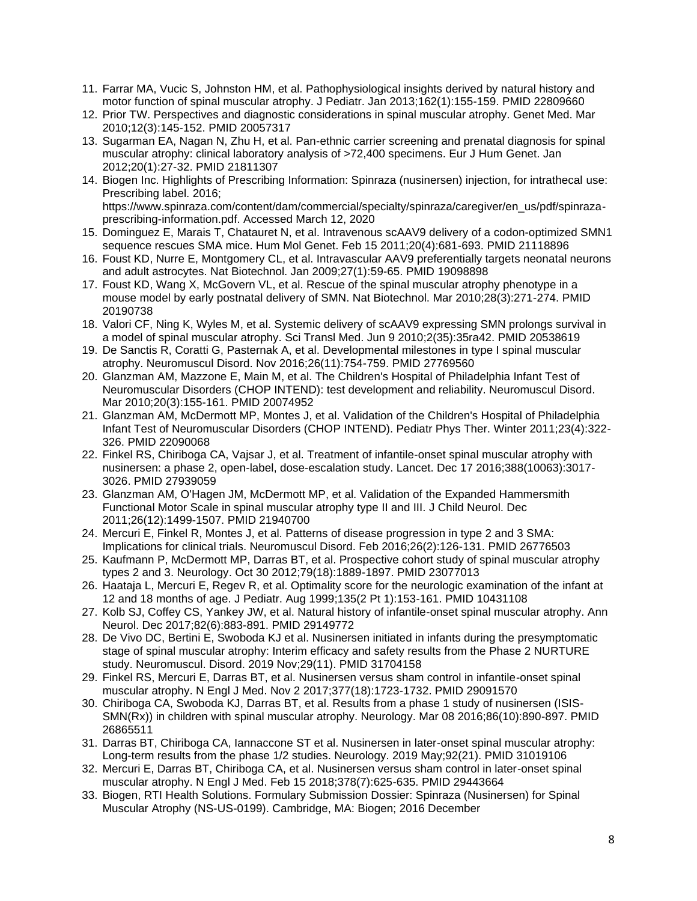- 11. Farrar MA, Vucic S, Johnston HM, et al. Pathophysiological insights derived by natural history and motor function of spinal muscular atrophy. J Pediatr. Jan 2013;162(1):155-159. PMID 22809660
- 12. Prior TW. Perspectives and diagnostic considerations in spinal muscular atrophy. Genet Med. Mar 2010;12(3):145-152. PMID 20057317
- 13. Sugarman EA, Nagan N, Zhu H, et al. Pan-ethnic carrier screening and prenatal diagnosis for spinal muscular atrophy: clinical laboratory analysis of >72,400 specimens. Eur J Hum Genet. Jan 2012;20(1):27-32. PMID 21811307
- 14. Biogen Inc. Highlights of Prescribing Information: Spinraza (nusinersen) injection, for intrathecal use: Prescribing label. 2016; https://www.spinraza.com/content/dam/commercial/specialty/spinraza/caregiver/en\_us/pdf/spinraza-
- prescribing-information.pdf. Accessed March 12, 2020
- 15. Dominguez E, Marais T, Chatauret N, et al. Intravenous scAAV9 delivery of a codon-optimized SMN1 sequence rescues SMA mice. Hum Mol Genet. Feb 15 2011;20(4):681-693. PMID 21118896
- 16. Foust KD, Nurre E, Montgomery CL, et al. Intravascular AAV9 preferentially targets neonatal neurons and adult astrocytes. Nat Biotechnol. Jan 2009;27(1):59-65. PMID 19098898
- 17. Foust KD, Wang X, McGovern VL, et al. Rescue of the spinal muscular atrophy phenotype in a mouse model by early postnatal delivery of SMN. Nat Biotechnol. Mar 2010;28(3):271-274. PMID 20190738
- 18. Valori CF, Ning K, Wyles M, et al. Systemic delivery of scAAV9 expressing SMN prolongs survival in a model of spinal muscular atrophy. Sci Transl Med. Jun 9 2010;2(35):35ra42. PMID 20538619
- 19. De Sanctis R, Coratti G, Pasternak A, et al. Developmental milestones in type I spinal muscular atrophy. Neuromuscul Disord. Nov 2016;26(11):754-759. PMID 27769560
- 20. Glanzman AM, Mazzone E, Main M, et al. The Children's Hospital of Philadelphia Infant Test of Neuromuscular Disorders (CHOP INTEND): test development and reliability. Neuromuscul Disord. Mar 2010;20(3):155-161. PMID 20074952
- 21. Glanzman AM, McDermott MP, Montes J, et al. Validation of the Children's Hospital of Philadelphia Infant Test of Neuromuscular Disorders (CHOP INTEND). Pediatr Phys Ther. Winter 2011;23(4):322- 326. PMID 22090068
- 22. Finkel RS, Chiriboga CA, Vajsar J, et al. Treatment of infantile-onset spinal muscular atrophy with nusinersen: a phase 2, open-label, dose-escalation study. Lancet. Dec 17 2016;388(10063):3017- 3026. PMID 27939059
- 23. Glanzman AM, O'Hagen JM, McDermott MP, et al. Validation of the Expanded Hammersmith Functional Motor Scale in spinal muscular atrophy type II and III. J Child Neurol. Dec 2011;26(12):1499-1507. PMID 21940700
- 24. Mercuri E, Finkel R, Montes J, et al. Patterns of disease progression in type 2 and 3 SMA: Implications for clinical trials. Neuromuscul Disord. Feb 2016;26(2):126-131. PMID 26776503
- 25. Kaufmann P, McDermott MP, Darras BT, et al. Prospective cohort study of spinal muscular atrophy types 2 and 3. Neurology. Oct 30 2012;79(18):1889-1897. PMID 23077013
- 26. Haataja L, Mercuri E, Regev R, et al. Optimality score for the neurologic examination of the infant at 12 and 18 months of age. J Pediatr. Aug 1999;135(2 Pt 1):153-161. PMID 10431108
- 27. Kolb SJ, Coffey CS, Yankey JW, et al. Natural history of infantile-onset spinal muscular atrophy. Ann Neurol. Dec 2017;82(6):883-891. PMID 29149772
- 28. De Vivo DC, Bertini E, Swoboda KJ et al. Nusinersen initiated in infants during the presymptomatic stage of spinal muscular atrophy: Interim efficacy and safety results from the Phase 2 NURTURE study. Neuromuscul. Disord. 2019 Nov;29(11). PMID 31704158
- 29. Finkel RS, Mercuri E, Darras BT, et al. Nusinersen versus sham control in infantile-onset spinal muscular atrophy. N Engl J Med. Nov 2 2017;377(18):1723-1732. PMID 29091570
- 30. Chiriboga CA, Swoboda KJ, Darras BT, et al. Results from a phase 1 study of nusinersen (ISIS-SMN(Rx)) in children with spinal muscular atrophy. Neurology. Mar 08 2016;86(10):890-897. PMID 26865511
- 31. Darras BT, Chiriboga CA, Iannaccone ST et al. Nusinersen in later-onset spinal muscular atrophy: Long-term results from the phase 1/2 studies. Neurology. 2019 May;92(21). PMID 31019106
- 32. Mercuri E, Darras BT, Chiriboga CA, et al. Nusinersen versus sham control in later-onset spinal muscular atrophy. N Engl J Med. Feb 15 2018;378(7):625-635. PMID 29443664
- 33. Biogen, RTI Health Solutions. Formulary Submission Dossier: Spinraza (Nusinersen) for Spinal Muscular Atrophy (NS-US-0199). Cambridge, MA: Biogen; 2016 December